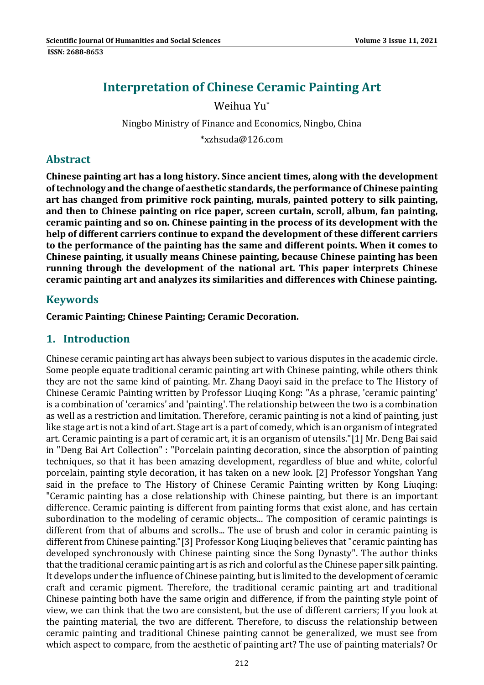# **Interpretation of Chinese Ceramic Painting Art**

#### Weihua Yu\*

## Ningbo Ministry of Finance and Economics, Ningbo, China

\*xzhsuda@126.com 

#### **Abstract**

**Chinese painting art has a long history. Since ancient times, along with the development oftechnology and the change of aesthetic standards,the performance of Chinese painting art has changed from primitive rock painting, murals, painted pottery to silk painting, and then to Chinese painting on rice paper, screen curtain, scroll, album, fan painting, ceramic painting and so on. Chinese painting in the process of its development with the help of different carriers continue to expand the development of these different carriers to the performance of the painting has the same and different points. When it comes to Chinese painting, it usually means Chinese painting, because Chinese painting has been running through the development of the national art. This paper interprets Chinese ceramic painting art and analyzes its similarities and differences with Chinese painting.**

## **Keywords**

#### **Ceramic Painting; Chinese Painting; Ceramic Decoration.**

## **1. Introduction**

Chinese ceramic painting art has always been subject to various disputes in the academic circle. Some people equate traditional ceramic painting art with Chinese painting, while others think they are not the same kind of painting. Mr. Zhang Daoyi said in the preface to The History of Chinese Ceramic Painting written by Professor Liuqing Kong: "As a phrase, 'ceramic painting' is a combination of 'ceramics' and 'painting'. The relationship between the two is a combination as well as a restriction and limitation. Therefore, ceramic painting is not a kind of painting, just like stage art is not a kind of art. Stage art is a part of comedy, which is an organism of integrated art. Ceramic painting is a part of ceramic art, it is an organism of utensils."[1] Mr. Deng Bai said in "Deng Bai Art Collection" : "Porcelain painting decoration, since the absorption of painting techniques, so that it has been amazing development, regardless of blue and white, colorful porcelain, painting style decoration, it has taken on a new look. [2] Professor Yongshan Yang said in the preface to The History of Chinese Ceramic Painting written by Kong Liuqing: "Ceramic painting has a close relationship with Chinese painting, but there is an important difference. Ceramic painting is different from painting forms that exist alone, and has certain subordination to the modeling of ceramic objects... The composition of ceramic paintings is different from that of albums and scrolls... The use of brush and color in ceramic painting is different from Chinese painting."[3] Professor Kong Liuging believes that "ceramic painting has developed synchronously with Chinese painting since the Song Dynasty". The author thinks that the traditional ceramic painting art is as rich and colorful as the Chinese paper silk painting. It develops under the influence of Chinese painting, but is limited to the development of ceramic craft and ceramic pigment. Therefore, the traditional ceramic painting art and traditional Chinese painting both have the same origin and difference, if from the painting style point of view, we can think that the two are consistent, but the use of different carriers; If you look at the painting material, the two are different. Therefore, to discuss the relationship between ceramic painting and traditional Chinese painting cannot be generalized, we must see from which aspect to compare, from the aesthetic of painting art? The use of painting materials? Or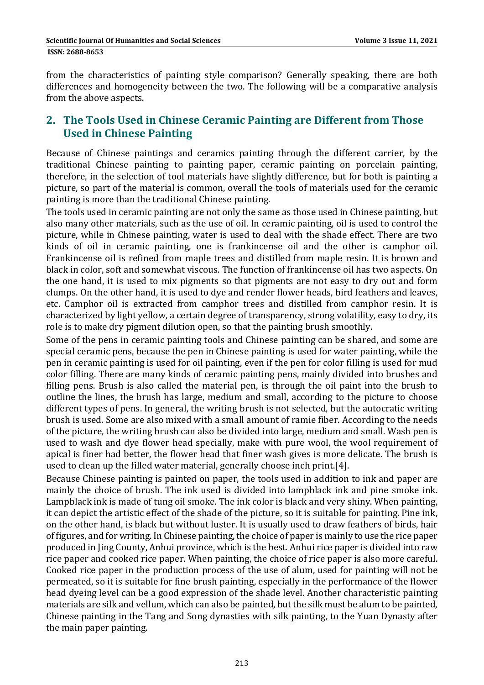from the characteristics of painting style comparison? Generally speaking, there are both differences and homogeneity between the two. The following will be a comparative analysis from the above aspects.

## **2. The Tools Used in Chinese Ceramic Painting are Different from Those Used in Chinese Painting**

Because of Chinese paintings and ceramics painting through the different carrier, by the traditional Chinese painting to painting paper, ceramic painting on porcelain painting, therefore, in the selection of tool materials have slightly difference, but for both is painting a picture, so part of the material is common, overall the tools of materials used for the ceramic painting is more than the traditional Chinese painting.

The tools used in ceramic painting are not only the same as those used in Chinese painting, but also many other materials, such as the use of oil. In ceramic painting, oil is used to control the picture, while in Chinese painting, water is used to deal with the shade effect. There are two kinds of oil in ceramic painting, one is frankincense oil and the other is camphor oil. Frankincense oil is refined from maple trees and distilled from maple resin. It is brown and black in color, soft and somewhat viscous. The function of frankincense oil has two aspects. On the one hand, it is used to mix pigments so that pigments are not easy to dry out and form clumps. On the other hand, it is used to dye and render flower heads, bird feathers and leaves, etc. Camphor oil is extracted from camphor trees and distilled from camphor resin. It is characterized by light yellow, a certain degree of transparency, strong volatility, easy to dry, its role is to make dry pigment dilution open, so that the painting brush smoothly.

Some of the pens in ceramic painting tools and Chinese painting can be shared, and some are special ceramic pens, because the pen in Chinese painting is used for water painting, while the pen in ceramic painting is used for oil painting, even if the pen for color filling is used for mud color filling. There are many kinds of ceramic painting pens, mainly divided into brushes and filling pens. Brush is also called the material pen, is through the oil paint into the brush to outline the lines, the brush has large, medium and small, according to the picture to choose different types of pens. In general, the writing brush is not selected, but the autocratic writing brush is used. Some are also mixed with a small amount of ramie fiber. According to the needs of the picture, the writing brush can also be divided into large, medium and small. Wash pen is used to wash and dye flower head specially, make with pure wool, the wool requirement of apical is finer had better, the flower head that finer wash gives is more delicate. The brush is used to clean up the filled water material, generally choose inch print.[4].

Because Chinese painting is painted on paper, the tools used in addition to ink and paper are mainly the choice of brush. The ink used is divided into lampblack ink and pine smoke ink. Lampblack ink is made of tung oil smoke. The ink color is black and very shiny. When painting, it can depict the artistic effect of the shade of the picture, so it is suitable for painting. Pine ink, on the other hand, is black but without luster. It is usually used to draw feathers of birds, hair of figures, and for writing. In Chinese painting, the choice of paper is mainly to use the rice paper produced in Jing County, Anhui province, which is the best. Anhui rice paper is divided into raw rice paper and cooked rice paper. When painting, the choice of rice paper is also more careful. Cooked rice paper in the production process of the use of alum, used for painting will not be permeated, so it is suitable for fine brush painting, especially in the performance of the flower head dyeing level can be a good expression of the shade level. Another characteristic painting materials are silk and vellum, which can also be painted, but the silk must be alum to be painted, Chinese painting in the Tang and Song dynasties with silk painting, to the Yuan Dynasty after the main paper painting.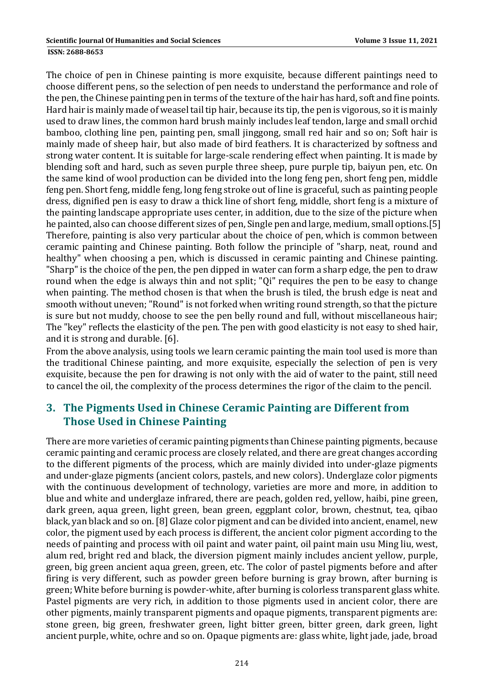The choice of pen in Chinese painting is more exquisite, because different paintings need to choose different pens, so the selection of pen needs to understand the performance and role of the pen, the Chinese painting pen in terms of the texture of the hair has hard, soft and fine points. Hard hair is mainly made of weasel tail tip hair, because its tip, the pen is vigorous, so it is mainly used to draw lines, the common hard brush mainly includes leaf tendon, large and small orchid bamboo, clothing line pen, painting pen, small jinggong, small red hair and so on; Soft hair is mainly made of sheep hair, but also made of bird feathers. It is characterized by softness and strong water content. It is suitable for large-scale rendering effect when painting. It is made by blending soft and hard, such as seven purple three sheep, pure purple tip, baiyun pen, etc. On the same kind of wool production can be divided into the long feng pen, short feng pen, middle feng pen. Short feng, middle feng, long feng stroke out of line is graceful, such as painting people dress, dignified pen is easy to draw a thick line of short feng, middle, short feng is a mixture of the painting landscape appropriate uses center, in addition, due to the size of the picture when he painted, also can choose different sizes of pen, Single pen and large, medium, small options.[5] Therefore, painting is also very particular about the choice of pen, which is common between ceramic painting and Chinese painting. Both follow the principle of "sharp, neat, round and healthy" when choosing a pen, which is discussed in ceramic painting and Chinese painting. "Sharp" is the choice of the pen, the pen dipped in water can form a sharp edge, the pen to draw round when the edge is always thin and not split; "Qi" requires the pen to be easy to change when painting. The method chosen is that when the brush is tiled, the brush edge is neat and smooth without uneven; "Round" is not forked when writing round strength, so that the picture is sure but not muddy, choose to see the pen belly round and full, without miscellaneous hair; The "key" reflects the elasticity of the pen. The pen with good elasticity is not easy to shed hair,

and it is strong and durable.  $[6]$ .

From the above analysis, using tools we learn ceramic painting the main tool used is more than the traditional Chinese painting, and more exquisite, especially the selection of pen is very exquisite, because the pen for drawing is not only with the aid of water to the paint, still need to cancel the oil, the complexity of the process determines the rigor of the claim to the pencil.

## **3. The Pigments Used in Chinese Ceramic Painting are Different from Those Used in Chinese Painting**

There are more varieties of ceramic painting pigments than Chinese painting pigments, because ceramic painting and ceramic process are closely related, and there are great changes according to the different pigments of the process, which are mainly divided into under-glaze pigments and under-glaze pigments (ancient colors, pastels, and new colors). Underglaze color pigments with the continuous development of technology, varieties are more and more, in addition to blue and white and underglaze infrared, there are peach, golden red, yellow, haibi, pine green, dark green, aqua green, light green, bean green, eggplant color, brown, chestnut, tea, qibao black, yan black and so on. [8] Glaze color pigment and can be divided into ancient, enamel, new color, the pigment used by each process is different, the ancient color pigment according to the needs of painting and process with oil paint and water paint, oil paint main usu Ming liu, west, alum red, bright red and black, the diversion pigment mainly includes ancient yellow, purple, green, big green ancient aqua green, green, etc. The color of pastel pigments before and after firing is very different, such as powder green before burning is gray brown, after burning is green; White before burning is powder-white, after burning is colorless transparent glass white. Pastel pigments are very rich, in addition to those pigments used in ancient color, there are other pigments, mainly transparent pigments and opaque pigments, transparent pigments are: stone green, big green, freshwater green, light bitter green, bitter green, dark green, light ancient purple, white, ochre and so on. Opaque pigments are: glass white, light jade, jade, broad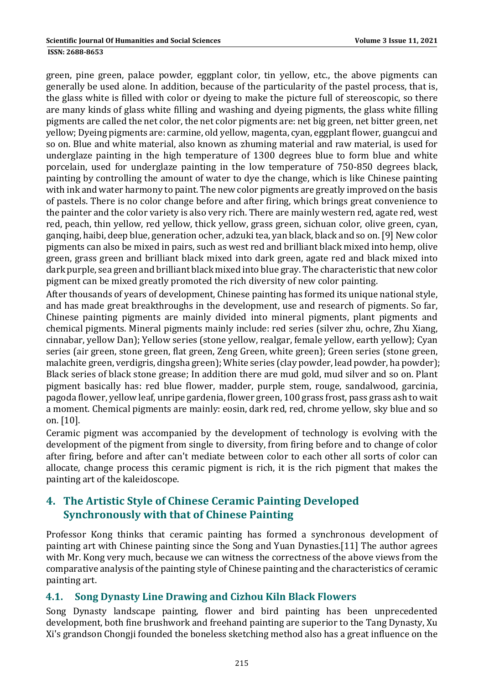green, pine green, palace powder, eggplant color, tin yellow, etc., the above pigments can generally be used alone. In addition, because of the particularity of the pastel process, that is, the glass white is filled with color or dyeing to make the picture full of stereoscopic, so there are many kinds of glass white filling and washing and dyeing pigments, the glass white filling pigments are called the net color, the net color pigments are: net big green, net bitter green, net yellow; Dyeing pigments are: carmine, old yellow, magenta, cyan, eggplant flower, guangcui and so on. Blue and white material, also known as zhuming material and raw material, is used for underglaze painting in the high temperature of 1300 degrees blue to form blue and white porcelain, used for underglaze painting in the low temperature of 750–850 degrees black, painting by controlling the amount of water to dye the change, which is like Chinese painting with ink and water harmony to paint. The new color pigments are greatly improved on the basis of pastels. There is no color change before and after firing, which brings great convenience to the painter and the color variety is also very rich. There are mainly western red, agate red, west red, peach, thin yellow, red yellow, thick yellow, grass green, sichuan color, olive green, cyan, ganging, haibi, deep blue, generation ocher, adzuki tea, yan black, black and so on. [9] New color pigments can also be mixed in pairs, such as west red and brilliant black mixed into hemp, olive green, grass green and brilliant black mixed into dark green, agate red and black mixed into dark purple, sea green and brilliant black mixed into blue gray. The characteristic that new color pigment can be mixed greatly promoted the rich diversity of new color painting.

After thousands of years of development, Chinese painting has formed its unique national style, and has made great breakthroughs in the development, use and research of pigments. So far, Chinese painting pigments are mainly divided into mineral pigments, plant pigments and chemical pigments. Mineral pigments mainly include: red series (silver zhu, ochre, Zhu Xiang, cinnabar, yellow Dan); Yellow series (stone yellow, realgar, female yellow, earth yellow); Cyan series (air green, stone green, flat green, Zeng Green, white green); Green series (stone green, malachite green, verdigris, dingsha green); White series (clay powder, lead powder, ha powder); Black series of black stone grease; In addition there are mud gold, mud silver and so on. Plant pigment basically has: red blue flower, madder, purple stem, rouge, sandalwood, garcinia, pagoda flower, yellow leaf, unripe gardenia, flower green, 100 grass frost, pass grass ash to wait a moment. Chemical pigments are mainly: eosin, dark red, red, chrome yellow, sky blue and so on. [10]. 

Ceramic pigment was accompanied by the development of technology is evolving with the development of the pigment from single to diversity, from firing before and to change of color after firing, before and after can't mediate between color to each other all sorts of color can allocate, change process this ceramic pigment is rich, it is the rich pigment that makes the painting art of the kaleidoscope.

## **4. The Artistic Style of Chinese Ceramic Painting Developed Synchronously with that of Chinese Painting**

Professor Kong thinks that ceramic painting has formed a synchronous development of painting art with Chinese painting since the Song and Yuan Dynasties.[11] The author agrees with Mr. Kong very much, because we can witness the correctness of the above views from the comparative analysis of the painting style of Chinese painting and the characteristics of ceramic painting art.

## **4.1. Song Dynasty Line Drawing and Cizhou Kiln Black Flowers**

Song Dynasty landscape painting, flower and bird painting has been unprecedented development, both fine brushwork and freehand painting are superior to the Tang Dynasty, Xu Xi's grandson Chongji founded the boneless sketching method also has a great influence on the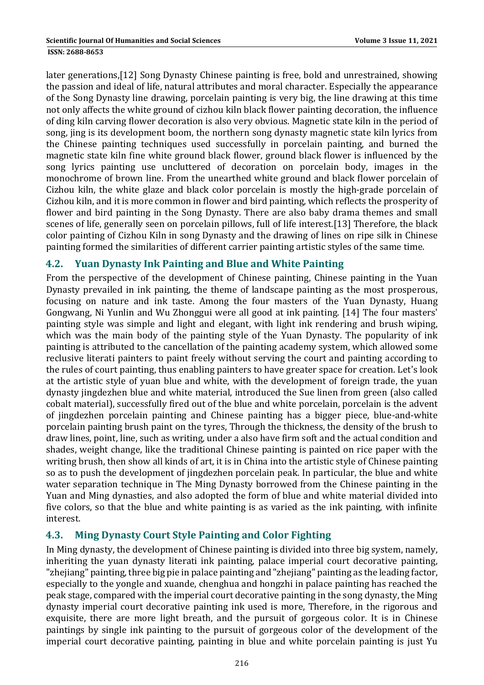later generations,[12] Song Dynasty Chinese painting is free, bold and unrestrained, showing the passion and ideal of life, natural attributes and moral character. Especially the appearance of the Song Dynasty line drawing, porcelain painting is very big, the line drawing at this time not only affects the white ground of cizhou kiln black flower painting decoration, the influence of ding kiln carving flower decoration is also very obvious. Magnetic state kiln in the period of song, jing is its development boom, the northern song dynasty magnetic state kiln lyrics from the Chinese painting techniques used successfully in porcelain painting, and burned the magnetic state kiln fine white ground black flower, ground black flower is influenced by the song lyrics painting use uncluttered of decoration on porcelain body, images in the monochrome of brown line. From the unearthed white ground and black flower porcelain of Cizhou kiln, the white glaze and black color porcelain is mostly the high-grade porcelain of Cizhou kiln, and it is more common in flower and bird painting, which reflects the prosperity of flower and bird painting in the Song Dynasty. There are also baby drama themes and small scenes of life, generally seen on porcelain pillows, full of life interest.[13] Therefore, the black color painting of Cizhou Kiln in song Dynasty and the drawing of lines on ripe silk in Chinese painting formed the similarities of different carrier painting artistic styles of the same time.

#### **4.2. Yuan Dynasty Ink Painting and Blue and White Painting**

From the perspective of the development of Chinese painting, Chinese painting in the Yuan Dynasty prevailed in ink painting, the theme of landscape painting as the most prosperous, focusing on nature and ink taste. Among the four masters of the Yuan Dynasty, Huang Gongwang, Ni Yunlin and Wu Zhonggui were all good at ink painting. [14] The four masters' painting style was simple and light and elegant, with light ink rendering and brush wiping, which was the main body of the painting style of the Yuan Dynasty. The popularity of ink painting is attributed to the cancellation of the painting academy system, which allowed some reclusive literati painters to paint freely without serving the court and painting according to the rules of court painting, thus enabling painters to have greater space for creation. Let's look at the artistic style of yuan blue and white, with the development of foreign trade, the yuan dynasty jingdezhen blue and white material, introduced the Sue linen from green (also called cobalt material), successfully fired out of the blue and white porcelain, porcelain is the advent of jingdezhen porcelain painting and Chinese painting has a bigger piece, blue-and-white porcelain painting brush paint on the tyres, Through the thickness, the density of the brush to draw lines, point, line, such as writing, under a also have firm soft and the actual condition and shades, weight change, like the traditional Chinese painting is painted on rice paper with the writing brush, then show all kinds of art, it is in China into the artistic style of Chinese painting so as to push the development of jingdezhen porcelain peak. In particular, the blue and white water separation technique in The Ming Dynasty borrowed from the Chinese painting in the Yuan and Ming dynasties, and also adopted the form of blue and white material divided into five colors, so that the blue and white painting is as varied as the ink painting, with infinite interest. 

## **4.3. Ming Dynasty Court Style Painting and Color Fighting**

In Ming dynasty, the development of Chinese painting is divided into three big system, namely, inheriting the yuan dynasty literati ink painting, palace imperial court decorative painting, "zhejiang" painting, three big pie in palace painting and "zhejiang" painting as the leading factor, especially to the yongle and xuande, chenghua and hongzhi in palace painting has reached the peak stage, compared with the imperial court decorative painting in the song dynasty, the Ming dynasty imperial court decorative painting ink used is more, Therefore, in the rigorous and exquisite, there are more light breath, and the pursuit of gorgeous color. It is in Chinese paintings by single ink painting to the pursuit of gorgeous color of the development of the imperial court decorative painting, painting in blue and white porcelain painting is just Yu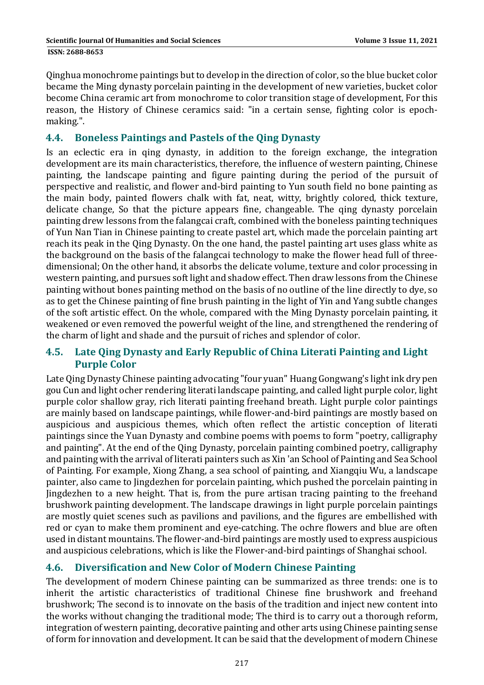Qinghua monochrome paintings but to develop in the direction of color, so the blue bucket color became the Ming dynasty porcelain painting in the development of new varieties, bucket color become China ceramic art from monochrome to color transition stage of development, For this reason, the History of Chinese ceramics said: "in a certain sense, fighting color is epochmaking.". 

#### **4.4. Boneless Paintings and Pastels of the Qing Dynasty**

Is an eclectic era in qing dynasty, in addition to the foreign exchange, the integration development are its main characteristics, therefore, the influence of western painting, Chinese painting, the landscape painting and figure painting during the period of the pursuit of perspective and realistic, and flower and-bird painting to Yun south field no bone painting as the main body, painted flowers chalk with fat, neat, witty, brightly colored, thick texture, delicate change, So that the picture appears fine, changeable. The qing dynasty porcelain painting drew lessons from the falangcai craft, combined with the boneless painting techniques of Yun Nan Tian in Chinese painting to create pastel art, which made the porcelain painting art reach its peak in the Qing Dynasty. On the one hand, the pastel painting art uses glass white as the background on the basis of the falangcai technology to make the flower head full of threedimensional; On the other hand, it absorbs the delicate volume, texture and color processing in western painting, and pursues soft light and shadow effect. Then draw lessons from the Chinese painting without bones painting method on the basis of no outline of the line directly to dye, so as to get the Chinese painting of fine brush painting in the light of Yin and Yang subtle changes of the soft artistic effect. On the whole, compared with the Ming Dynasty porcelain painting, it weakened or even removed the powerful weight of the line, and strengthened the rendering of the charm of light and shade and the pursuit of riches and splendor of color.

#### **4.5. Late Qing Dynasty and Early Republic of China Literati Painting and Light Purple Color**

Late Qing Dynasty Chinese painting advocating "four yuan" Huang Gongwang's light ink dry pen gou Cun and light ocher rendering literati landscape painting, and called light purple color, light purple color shallow gray, rich literati painting freehand breath. Light purple color paintings are mainly based on landscape paintings, while flower-and-bird paintings are mostly based on auspicious and auspicious themes, which often reflect the artistic conception of literati paintings since the Yuan Dynasty and combine poems with poems to form "poetry, calligraphy and painting". At the end of the Qing Dynasty, porcelain painting combined poetry, calligraphy and painting with the arrival of literati painters such as Xin 'an School of Painting and Sea School of Painting. For example, Xiong Zhang, a sea school of painting, and Xiangqiu Wu, a landscape painter, also came to Jingdezhen for porcelain painting, which pushed the porcelain painting in Jingdezhen to a new height. That is, from the pure artisan tracing painting to the freehand brushwork painting development. The landscape drawings in light purple porcelain paintings are mostly quiet scenes such as pavilions and pavilions, and the figures are embellished with red or cyan to make them prominent and eye-catching. The ochre flowers and blue are often used in distant mountains. The flower-and-bird paintings are mostly used to express auspicious and auspicious celebrations, which is like the Flower-and-bird paintings of Shanghai school.

## **4.6. Diversification and New Color of Modern Chinese Painting**

The development of modern Chinese painting can be summarized as three trends: one is to inherit the artistic characteristics of traditional Chinese fine brushwork and freehand brushwork; The second is to innovate on the basis of the tradition and inject new content into the works without changing the traditional mode; The third is to carry out a thorough reform, integration of western painting, decorative painting and other arts using Chinese painting sense of form for innovation and development. It can be said that the development of modern Chinese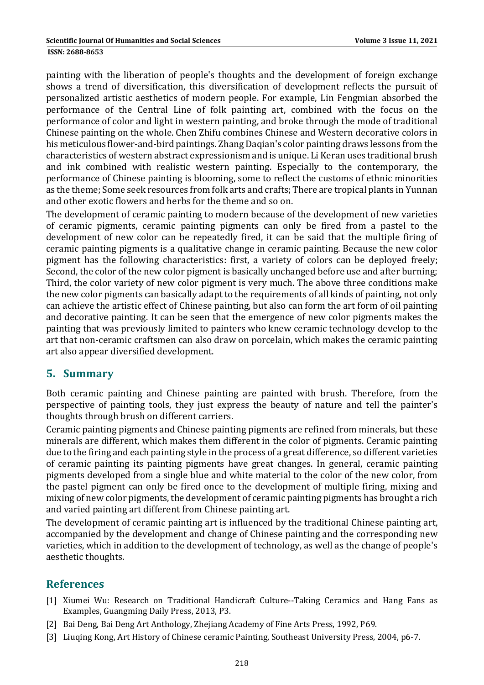painting with the liberation of people's thoughts and the development of foreign exchange shows a trend of diversification, this diversification of development reflects the pursuit of personalized artistic aesthetics of modern people. For example, Lin Fengmian absorbed the performance of the Central Line of folk painting art, combined with the focus on the performance of color and light in western painting, and broke through the mode of traditional

Chinese painting on the whole. Chen Zhifu combines Chinese and Western decorative colors in his meticulous flower-and-bird paintings. Zhang Daqian's color painting draws lessons from the characteristics of western abstract expressionism and is unique. Li Keran uses traditional brush and ink combined with realistic western painting. Especially to the contemporary, the performance of Chinese painting is blooming, some to reflect the customs of ethnic minorities as the theme; Some seek resources from folk arts and crafts; There are tropical plants in Yunnan and other exotic flowers and herbs for the theme and so on.

The development of ceramic painting to modern because of the development of new varieties of ceramic pigments, ceramic painting pigments can only be fired from a pastel to the development of new color can be repeatedly fired, it can be said that the multiple firing of ceramic painting pigments is a qualitative change in ceramic painting. Because the new color pigment has the following characteristics: first, a variety of colors can be deployed freely; Second, the color of the new color pigment is basically unchanged before use and after burning; Third, the color variety of new color pigment is very much. The above three conditions make the new color pigments can basically adapt to the requirements of all kinds of painting, not only can achieve the artistic effect of Chinese painting, but also can form the art form of oil painting and decorative painting. It can be seen that the emergence of new color pigments makes the painting that was previously limited to painters who knew ceramic technology develop to the art that non-ceramic craftsmen can also draw on porcelain, which makes the ceramic painting art also appear diversified development.

## **5. Summary**

Both ceramic painting and Chinese painting are painted with brush. Therefore, from the perspective of painting tools, they just express the beauty of nature and tell the painter's thoughts through brush on different carriers.

Ceramic painting pigments and Chinese painting pigments are refined from minerals, but these minerals are different, which makes them different in the color of pigments. Ceramic painting due to the firing and each painting style in the process of a great difference, so different varieties of ceramic painting its painting pigments have great changes. In general, ceramic painting pigments developed from a single blue and white material to the color of the new color, from the pastel pigment can only be fired once to the development of multiple firing, mixing and mixing of new color pigments, the development of ceramic painting pigments has brought a rich and varied painting art different from Chinese painting art.

The development of ceramic painting art is influenced by the traditional Chinese painting art, accompanied by the development and change of Chinese painting and the corresponding new varieties, which in addition to the development of technology, as well as the change of people's aesthetic thoughts.

## **References**

- [1] Xiumei Wu: Research on Traditional Handicraft Culture--Taking Ceramics and Hang Fans as Examples, Guangming Daily Press, 2013, P3.
- [2] Bai Deng, Bai Deng Art Anthology, Zhejiang Academy of Fine Arts Press, 1992, P69.
- [3] Liuqing Kong, Art History of Chinese ceramic Painting, Southeast University Press, 2004, p6-7.